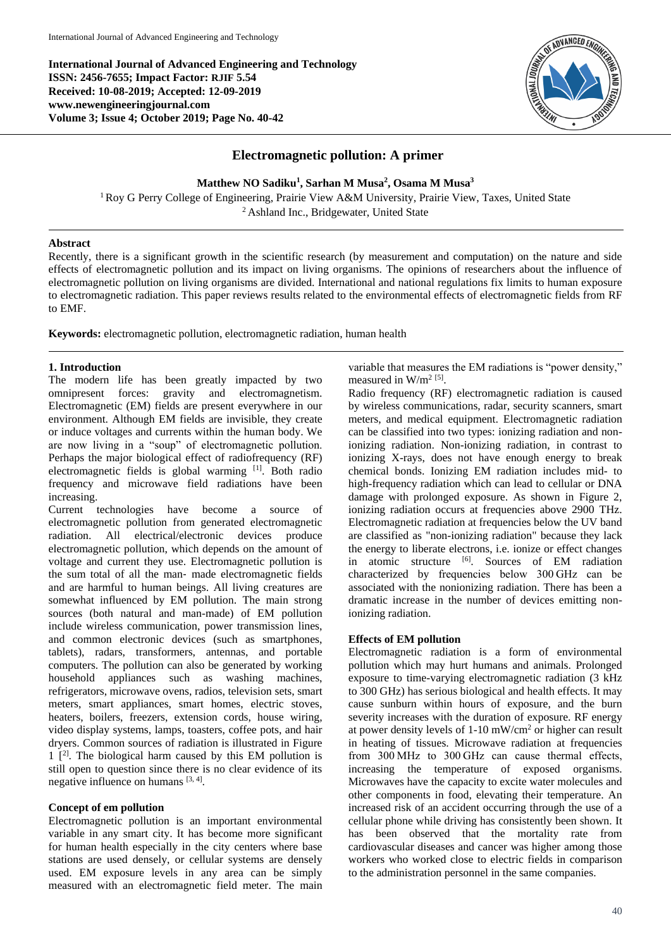**International Journal of Advanced Engineering and Technology ISSN: 2456-7655; Impact Factor: RJIF 5.54 Received: 10-08-2019; Accepted: 12-09-2019 www.newengineeringjournal.com Volume 3; Issue 4; October 2019; Page No. 40-42**



# **Electromagnetic pollution: A primer**

**Matthew NO Sadiku<sup>1</sup> , Sarhan M Musa<sup>2</sup> , Osama M Musa<sup>3</sup>**

<sup>1</sup>Roy G Perry College of Engineering, Prairie View A&M University, Prairie View, Taxes, United State <sup>2</sup> Ashland Inc., Bridgewater, United State

## **Abstract**

Recently, there is a significant growth in the scientific research (by measurement and computation) on the nature and side effects of electromagnetic pollution and its impact on living organisms. The opinions of researchers about the influence of electromagnetic pollution on living organisms are divided. International and national regulations fix limits to human exposure to electromagnetic radiation. This paper reviews results related to the environmental effects of electromagnetic fields from RF to EMF.

**Keywords:** electromagnetic pollution, electromagnetic radiation, human health

### **1. Introduction**

The modern life has been greatly impacted by two omnipresent forces: gravity and electromagnetism. Electromagnetic (EM) fields are present everywhere in our environment. Although EM fields are invisible, they create or induce voltages and currents within the human body. We are now living in a "soup" of electromagnetic pollution. Perhaps the major biological effect of radiofrequency (RF) electromagnetic fields is global warming [1]. Both radio frequency and microwave field radiations have been increasing.

Current technologies have become a source of electromagnetic pollution from generated electromagnetic radiation. All electrical/electronic devices produce electromagnetic pollution, which depends on the amount of voltage and current they use. Electromagnetic pollution is the sum total of all the man‐ made electromagnetic fields and are harmful to human beings. All living creatures are somewhat influenced by EM pollution. The main strong sources (both natural and man-made) of EM pollution include wireless communication, power transmission lines, and common electronic devices (such as smartphones, tablets), radars, transformers, antennas, and portable computers. The pollution can also be generated by working household appliances such as washing machines, refrigerators, microwave ovens, radios, television sets, smart meters, smart appliances, smart homes, electric stoves, heaters, boilers, freezers, extension cords, house wiring, video display systems, lamps, toasters, coffee pots, and hair dryers. Common sources of radiation is illustrated in Figure  $1$   $[2]$ . The biological harm caused by this EM pollution is still open to question since there is no clear evidence of its negative influence on humans [3, 4].

# **Concept of em pollution**

Electromagnetic pollution is an important environmental variable in any smart city. It has become more significant for human health especially in the city centers where base stations are used densely, or cellular systems are densely used. EM exposure levels in any area can be simply measured with an electromagnetic field meter. The main

variable that measures the EM radiations is "power density," measured in W/m<sup>2 [5]</sup>.

Radio frequency (RF) electromagnetic radiation is caused by wireless communications, radar, security scanners, smart meters, and medical equipment. Electromagnetic radiation can be classified into two types: ionizing radiation and nonionizing radiation. Non-ionizing radiation, in contrast to ionizing X-rays, does not have enough energy to break chemical bonds. Ionizing EM radiation includes mid- to high-frequency radiation which can lead to cellular or DNA damage with prolonged exposure. As shown in Figure 2, ionizing radiation occurs at frequencies above 2900 THz. Electromagnetic radiation at frequencies below the UV band are classified as "non-ionizing radiation" because they lack the energy to liberate electrons, i.e. ionize or effect changes in atomic structure <sup>[6]</sup>. Sources of EM radiation characterized by frequencies below 300 GHz can be associated with the nonionizing radiation. There has been a dramatic increase in the number of devices emitting nonionizing radiation.

### **Effects of EM pollution**

Electromagnetic radiation is a form of environmental pollution which may hurt humans and animals. Prolonged exposure to time-varying electromagnetic radiation (3 kHz to 300 GHz) has serious biological and health effects. It may cause sunburn within hours of exposure, and the burn severity increases with the duration of exposure. RF energy at power density levels of  $1\n-10$  mW/cm<sup>2</sup> or higher can result in heating of tissues. Microwave radiation at frequencies from 300 MHz to 300 GHz can cause thermal effects, increasing the temperature of exposed organisms. Microwaves have the capacity to excite water molecules and other components in food, elevating their temperature. An increased risk of an accident occurring through the use of a cellular phone while driving has consistently been shown. It has been observed that the mortality rate from cardiovascular diseases and cancer was higher among those workers who worked close to electric fields in comparison to the administration personnel in the same companies.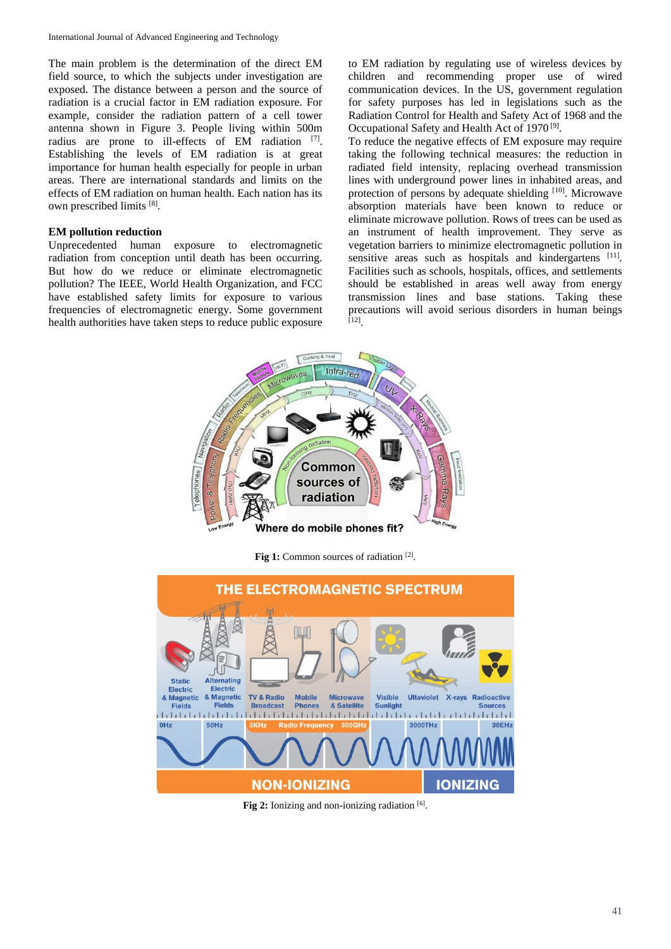The main problem is the determination of the direct EM field source, to which the subjects under investigation are exposed. The distance between a person and the source of radiation is a crucial factor in EM radiation exposure. For example, consider the radiation pattern of a cell tower antenna shown in Figure 3. People living within 500m radius are prone to ill-effects of EM radiation [7]. Establishing the levels of EM radiation is at great importance for human health especially for people in urban areas. There are international standards and limits on the effects of EM radiation on human health. Each nation has its own prescribed limits [8].

## **EM pollution reduction**

Unprecedented human exposure to electromagnetic radiation from conception until death has been occurring. But how do we reduce or eliminate electromagnetic pollution? The IEEE, World Health Organization, and FCC have established safety limits for exposure to various frequencies of electromagnetic energy. Some government health authorities have taken steps to reduce public exposure

to EM radiation by regulating use of wireless devices by children and recommending proper use of wired communication devices. In the US, government regulation for safety purposes has led in legislations such as the Radiation Control for Health and Safety Act of 1968 and the Occupational Safety and Health Act of 1970<sup>[9]</sup>.

To reduce the negative effects of EM exposure may require taking the following technical measures: the reduction in radiated field intensity, replacing overhead transmission lines with underground power lines in inhabited areas, and protection of persons by adequate shielding [10]. Microwave absorption materials have been known to reduce or eliminate microwave pollution. Rows of trees can be used as an instrument of health improvement. They serve as vegetation barriers to minimize electromagnetic pollution in sensitive areas such as hospitals and kindergartens [11]. Facilities such as schools, hospitals, offices, and settlements should be established in areas well away from energy transmission lines and base stations. Taking these precautions will avoid serious disorders in human beings [12] .



Fig 1: Common sources of radiation<sup>[2]</sup>.



Fig 2: Ionizing and non-ionizing radiation [6].